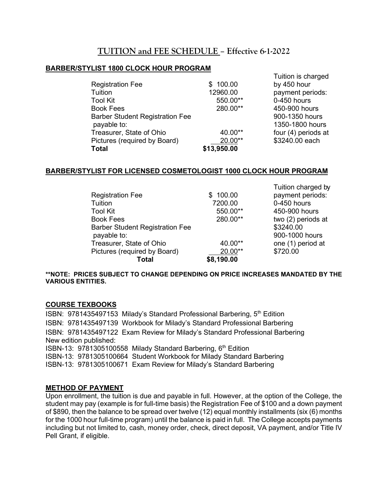# **TUITION and FEE SCHEDULE – Effective 6-1-2022**

#### **BARBER/STYLIST 1800 CLOCK HOUR PROGRAM**

|                                        |             | Tuition is charged  |
|----------------------------------------|-------------|---------------------|
| <b>Registration Fee</b>                | \$100.00    | by 450 hour         |
| Tuition                                | 12960.00    | payment periods:    |
| <b>Tool Kit</b>                        | 550.00**    | 0-450 hours         |
| <b>Book Fees</b>                       | 280.00**    | 450-900 hours       |
| <b>Barber Student Registration Fee</b> |             | 900-1350 hours      |
| payable to:                            |             | 1350-1800 hours     |
| Treasurer, State of Ohio               | 40.00**     | four (4) periods at |
| Pictures (required by Board)           | 20.00**     | \$3240.00 each      |
| <b>Total</b>                           | \$13,950.00 |                     |

#### **BARBER/STYLIST FOR LICENSED COSMETOLOGIST 1000 CLOCK HOUR PROGRAM**

|                                        |            | <b>TURIOLI VIIDIYUU DY</b> |
|----------------------------------------|------------|----------------------------|
| <b>Registration Fee</b>                | \$100.00   | payment periods:           |
| Tuition                                | 7200.00    | 0-450 hours                |
| <b>Tool Kit</b>                        | 550.00**   | 450-900 hours              |
| <b>Book Fees</b>                       | 280.00**   | two (2) periods at         |
| <b>Barber Student Registration Fee</b> |            | \$3240.00                  |
| payable to:                            |            | 900-1000 hours             |
| Treasurer, State of Ohio               | 40.00**    | one (1) period at          |
| Pictures (required by Board)           | 20.00**    | \$720.00                   |
| Total                                  | \$8,190.00 |                            |
|                                        |            |                            |

Tuition charged by

#### **\*\*NOTE: PRICES SUBJECT TO CHANGE DEPENDING ON PRICE INCREASES MANDATED BY THE VARIOUS ENTITIES.**

#### **COURSE TEXBOOKS**

ISBN: 9781435497153 Milady's Standard Professional Barbering, 5<sup>th</sup> Edition ISBN: 9781435497139 Workbook for Milady's Standard Professional Barbering ISBN: 9781435497122 Exam Review for Milady's Standard Professional Barbering New edition published: ISBN-13: 9781305100558 Milady Standard Barbering, 6<sup>th</sup> Edition ISBN-13: 9781305100664 Student Workbook for Milady Standard Barbering ISBN-13: 9781305100671 Exam Review for Milady's Standard Barbering

#### **METHOD OF PAYMENT**

Upon enrollment, the tuition is due and payable in full. However, at the option of the College, the student may pay (example is for full-time basis) the Registration Fee of \$100 and a down payment of \$890, then the balance to be spread over twelve (12) equal monthly installments (six (6) months for the 1000 hour full-time program) until the balance is paid in full. The College accepts payments including but not limited to, cash, money order, check, direct deposit, VA payment, and/or Title IV Pell Grant, if eligible.